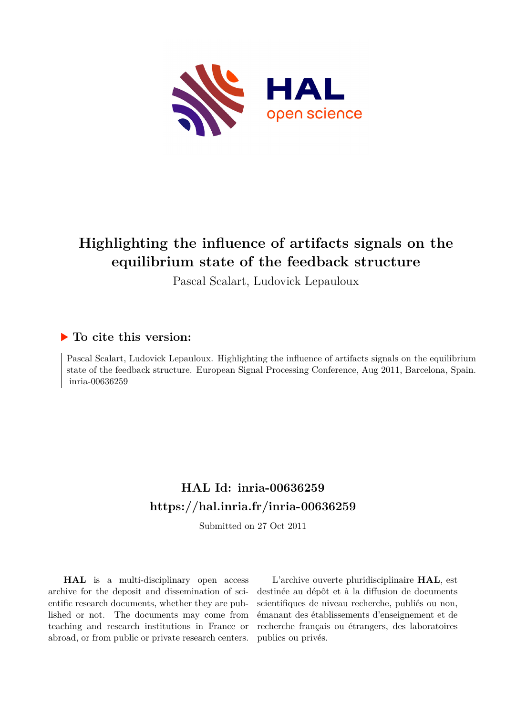

# **Highlighting the influence of artifacts signals on the equilibrium state of the feedback structure**

Pascal Scalart, Ludovick Lepauloux

## **To cite this version:**

Pascal Scalart, Ludovick Lepauloux. Highlighting the influence of artifacts signals on the equilibrium state of the feedback structure. European Signal Processing Conference, Aug 2011, Barcelona, Spain. inria-00636259

## **HAL Id: inria-00636259 <https://hal.inria.fr/inria-00636259>**

Submitted on 27 Oct 2011

**HAL** is a multi-disciplinary open access archive for the deposit and dissemination of scientific research documents, whether they are published or not. The documents may come from teaching and research institutions in France or abroad, or from public or private research centers.

L'archive ouverte pluridisciplinaire **HAL**, est destinée au dépôt et à la diffusion de documents scientifiques de niveau recherche, publiés ou non, émanant des établissements d'enseignement et de recherche français ou étrangers, des laboratoires publics ou privés.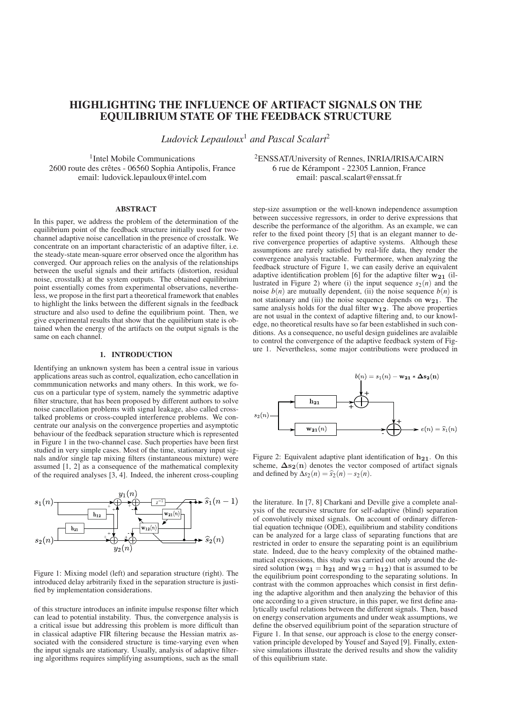### HIGHLIGHTING THE INFLUENCE OF ARTIFACT SIGNALS ON THE EQUILIBRIUM STATE OF THE FEEDBACK STRUCTURE

*Ludovick Lepauloux*<sup>1</sup> *and Pascal Scalart*<sup>2</sup>

<sup>1</sup>Intel Mobile Communications 2600 route des cretes - 06560 Sophia Antipolis, France ˆ email: ludovick.lepauloux@intel.com

#### ABSTRACT

In this paper, we address the problem of the determination of the equilibrium point of the feedback structure initially used for twochannel adaptive noise cancellation in the presence of crosstalk. We concentrate on an important characteristic of an adaptive filter, i.e. the steady-state mean-square error observed once the algorithm has converged. Our approach relies on the analysis of the relationships between the useful signals and their artifacts (distortion, residual noise, crosstalk) at the system outputs. The obtained equilibrium point essentially comes from experimental observations, nevertheless, we propose in the first part a theoretical framework that enables to highlight the links between the different signals in the feedback structure and also used to define the equilibrium point. Then, we give experimental results that show that the equilibrium state is obtained when the energy of the artifacts on the output signals is the same on each channel.

#### 1. INTRODUCTION

Identifying an unknown system has been a central issue in various applications areas such as control, equalization, echo cancellation in commmunication networks and many others. In this work, we focus on a particular type of system, namely the symmetric adaptive filter structure, that has been proposed by different authors to solve noise cancellation problems with signal leakage, also called crosstalked problems or cross-coupled interference problems. We concentrate our analysis on the convergence properties and asymptotic behaviour of the feedback separation structure which is represented in Figure 1 in the two-channel case. Such properties have been first studied in very simple cases. Most of the time, stationary input signals and/or single tap mixing filters (instantaneous mixture) were assumed [1, 2] as a consequence of the mathematical complexity of the required analyses [3, 4]. Indeed, the inherent cross-coupling



Figure 1: Mixing model (left) and separation structure (right). The introduced delay arbitrarily fixed in the separation structure is justified by implementation considerations.

of this structure introduces an infinite impulse response filter which can lead to potential instability. Thus, the convergence analysis is a critical issue but addressing this problem is more difficult than in classical adaptive FIR filtering because the Hessian matrix associated with the considered structure is time-varying even when the input signals are stationary. Usually, analysis of adaptive filtering algorithms requires simplifying assumptions, such as the small

2ENSSAT/University of Rennes, INRIA/IRISA/CAIRN 6 rue de Kerampont - 22305 Lannion, France ´ email: pascal.scalart@enssat.fr

step-size assumption or the well-known independence assumption between successive regressors, in order to derive expressions that describe the performance of the algorithm. As an example, we can refer to the fixed point theory [5] that is an elegant manner to derive convergence properties of adaptive systems. Although these assumptions are rarely satisfied by real-life data, they render the convergence analysis tractable. Furthermore, when analyzing the feedback structure of Figure 1, we can easily derive an equivalent adaptive identification problem [6] for the adaptive filter  $w_{21}$  (illustrated in Figure 2) where (i) the input sequence  $s_2(n)$  and the noise  $b(n)$  are mutually dependent, (ii) the noise sequence  $b(n)$  is not stationary and (iii) the noise sequence depends on **w21**. The same analysis holds for the dual filter **w12**. The above properties are not usual in the context of adaptive filtering and, to our knowledge, no theoretical results have so far been established in such conditions. As a consequence, no useful design guidelines are avalaible to control the convergence of the adaptive feedback system of Figure 1. Nevertheless, some major contributions were produced in



Figure 2: Equivalent adaptive plant identification of **h21**. On this scheme,  $\Delta s_2(n)$  denotes the vector composed of artifact signals and defined by  $\Delta s_2(n) = \hat{s}_2(n) - s_2(n)$ .

the literature. In [7, 8] Charkani and Deville give a complete analysis of the recursive structure for self-adaptive (blind) separation of convolutively mixed signals. On account of ordinary differential equation technique (ODE), equilibrium and stability conditions can be analyzed for a large class of separating functions that are restricted in order to ensure the separating point is an equilibrium state. Indeed, due to the heavy complexity of the obtained mathematical expressions, this study was carried out only around the desired solution ( $w_{21} = h_{21}$  and  $w_{12} = h_{12}$ ) that is assumed to be the equilibrium point corresponding to the separating solutions. In contrast with the common approaches which consist in first defining the adaptive algorithm and then analyzing the behavior of this one according to a given structure, in this paper, we first define analytically useful relations between the different signals. Then, based on energy conservation arguments and under weak assumptions, we define the observed equilibrium point of the separation structure of Figure 1. In that sense, our approach is close to the energy conservation principle developed by Yousef and Sayed [9]. Finally, extensive simulations illustrate the derived results and show the validity of this equilibrium state.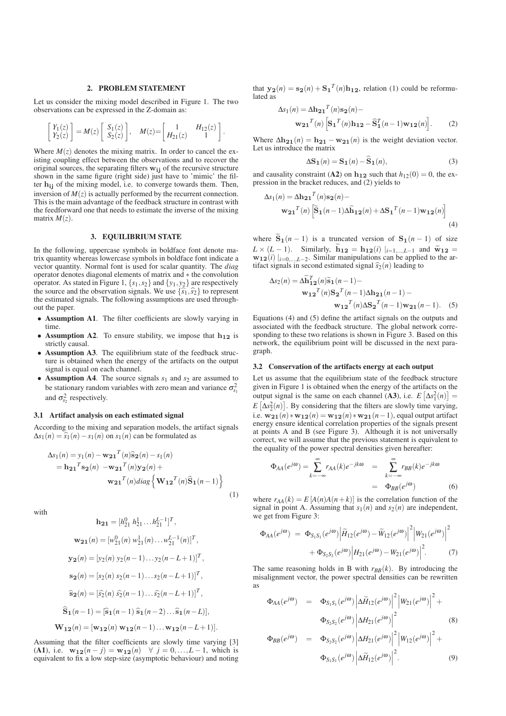#### 2. PROBLEM STATEMENT

Let us consider the mixing model described in Figure 1. The two observations can be expressed in the Z-domain as:

$$
\begin{bmatrix} Y_1(z) \\ Y_2(z) \end{bmatrix} = M(z) \begin{bmatrix} S_1(z) \\ S_2(z) \end{bmatrix}, \quad M(z) = \begin{bmatrix} 1 & H_{12}(z) \\ H_{21}(z) & 1 \end{bmatrix}.
$$

Where  $M(z)$  denotes the mixing matrix. In order to cancel the existing coupling effect between the observations and to recover the original sources, the separating filters **wij** of the recursive structure shown in the same figure (right side) just have to 'mimic' the filter **hij** of the mixing model, i.e. to converge towards them. Then, inversion of  $M(z)$  is actually performed by the recurrent connection. This is the main advantage of the feedback structure in contrast with the feedforward one that needs to estimate the inverse of the mixing matrix  $M(z)$ .

#### 3. EQUILIBRIUM STATE

In the following, uppercase symbols in boldface font denote matrix quantity whereas lowercase symbols in boldface font indicate a vector quantity. Normal font is used for scalar quantity. The *diag* operator denotes diagonal elements of matrix and ∗ the convolution operator. As stated in Figure 1,  $\{s_1, s_2\}$  and  $\{y_1, y_2\}$  are respectively the source and the observation signals. We use  $\{\hat{s}_1, \hat{s}_2\}$  to represent the estimated signals. The following assumptions are used through the estimated signals. The following assumptions are used throughout the paper.

- Assumption A1. The filter coefficients are slowly varying in time.
- Assumption A2. To ensure stability, we impose that **h<sup>12</sup>** is strictly causal.
- Assumption A3. The equilibrium state of the feedback structure is obtained when the energy of the artifacts on the output signal is equal on each channel.
- Assumption A4. The source signals  $s_1$  and  $s_2$  are assumed to be stationary random variables with zero mean and variance  $\sigma_{s_1}^2$ and  $\sigma_{s_2}^2$  respectively.

#### 3.1 Artifact analysis on each estimated signal

According to the mixing and separation models, the artifact signals  $\Delta s_1(n) = \hat{s}_1(n) - s_1(n)$  on  $s_1(n)$  can be formulated as

$$
\Delta s_1(n) = y_1(n) - \mathbf{w_{21}}^T(n)\hat{\mathbf{s}}_2(n) - s_1(n)
$$
  
=  $\mathbf{h_{21}}^T \mathbf{s_2}(n) - \mathbf{w_{21}}^T(n)\mathbf{y_2}(n) + \mathbf{w_{21}}^T(n)diag\left\{\mathbf{W_{12}}^T(n)\hat{\mathbf{s}}_1(n-1)\right\}$  (1)

with

$$
\mathbf{h}_{21} = [h_{21}^{0} \ h_{21}^{1} \dots h_{21}^{L-1}]^{T},
$$
  
\n
$$
\mathbf{w}_{21}(n) = [w_{21}^{0}(n) \ w_{21}^{1}(n) \dots w_{21}^{L-1}(n)]^{T},
$$
  
\n
$$
\mathbf{y}_{2}(n) = [y_{2}(n) \ y_{2}(n-1) \dots y_{2}(n-L+1)]^{T},
$$
  
\n
$$
\mathbf{s}_{2}(n) = [s_{2}(n) \ s_{2}(n-1) \dots s_{2}(n-L+1)]^{T},
$$
  
\n
$$
\mathbf{\hat{s}}_{2}(n) = [\hat{s}_{2}(n) \ \hat{s}_{2}(n-1) \dots \hat{s}_{2}(n-L+1)]^{T},
$$
  
\n
$$
\mathbf{\hat{S}}_{1}(n-1) = [\mathbf{\hat{s}}_{1}(n-1) \ \mathbf{\hat{s}}_{1}(n-2) \dots \mathbf{\hat{s}}_{1}(n-L)],
$$
  
\n
$$
\mathbf{W}_{12}(n) = [\mathbf{w}_{12}(n) \ \mathbf{w}_{12}(n-1) \dots \mathbf{w}_{12}(n-L+1)].
$$

Assuming that the filter coefficients are slowly time varying [3] (A1), i.e. **w**<sub>12</sub>(*n* − *j*) = **w**<sub>12</sub>(*n*) ∀ *j* = 0,...,*L* − 1, which is equivalent to fix a low step-size (asymptotic behaviour) and noting that  $y_2(n) = s_2(n) + S_1^T(n)h_{12}$ , relation (1) could be reformulated as

$$
\Delta s_1(n) = \Delta \mathbf{h_{21}}^T(n) \mathbf{s_2}(n) - \mathbf{w_{21}}^T(n) \left[ \mathbf{S_1}^T(n) \mathbf{h_{12}} - \mathbf{\hat{S}_1}^T(n-1) \mathbf{w_{12}}(n) \right].
$$
 (2)

Where  $\Delta h_{21}(n) = h_{21} - w_{21}(n)$  is the weight deviation vector. Let us introduce the matrix

$$
\Delta S_1(n) = S_1(n) - \widehat{S}_1(n),\tag{3}
$$

and causality constraint (A2) on  $h_{12}$  such that  $h_{12}(0) = 0$ , the expression in the bracket reduces, and (2) yields to

$$
\Delta s_1(n) = \Delta \mathbf{h_{21}}^T(n) \mathbf{s_2}(n) - \mathbf{w_{21}}^T(n) \left[ \widetilde{\mathbf{S}}_1(n-1) \Delta \widetilde{\mathbf{h}}_{12}(n) + \Delta \mathbf{S_1}^T(n-1) \mathbf{w_{12}}(n) \right]
$$
\n(4)

where  $\widetilde{S}_1(n-1)$  is a truncated version of  $S_1(n-1)$  of size *L* × (*L* − 1). Similarly,  $\widetilde{h}_{12} = h_{12}(i) |_{i=1,...,L-1}$  and  $\widetilde{w}_{12} =$ **w12**(*i*)  $|_{i=0,...,L-2}$ . Similar manipulations can be applied to the artifact signals in second estimated signal  $\hat{s}_2(n)$  leading to

$$
\Delta s_2(n) = \Delta \widetilde{\mathbf{h}}_{12}^T(n) \widetilde{\mathbf{s}}_1(n-1) - \mathbf{w_{12}}^T(n) \mathbf{S}_2^T(n-1) \Delta \mathbf{h}_{21}(n-1) - \mathbf{w_{12}}^T(n) \Delta \mathbf{S}_2^T(n-1) \mathbf{w_{21}}(n-1). \quad (5)
$$

Equations (4) and (5) define the artifact signals on the outputs and associated with the feedback structure. The global network corresponding to these two relations is shown in Figure 3. Based on this network, the equilibrium point will be discussed in the next paragraph.

#### 3.2 Conservation of the artifacts energy at each output

Let us assume that the equilibrium state of the feedback structure given in Figure 1 is obtained when the energy of the artifacts on the output signal is the same on each channel (A3), i.e.  $E\left[\Delta s_1^2(n)\right] =$  $E\left[\Delta s_2^2(n)\right]$ . By considering that the filters are slowly time varying, i.e.  $\mathbf{w}_{21}(n) * \mathbf{w}_{12}(n) = \mathbf{w}_{12}(n) * \mathbf{w}_{21}(n-1)$ , equal output artifact energy ensure identical correlation properties of the signals present at points A and B (see Figure 3). Although it is not universally correct, we will assume that the previous statement is equivalent to the equality of the power spectral densities given hereafter:

$$
\Phi_{AA}(e^{j\omega}) = \sum_{k=-\infty}^{\infty} r_{AA}(k)e^{-jk\omega} = \sum_{k=-\infty}^{\infty} r_{BB}(k)e^{-jk\omega}
$$

$$
= \Phi_{BB}(e^{j\omega}) \tag{6}
$$

where  $r_{AA}(k) = E[A(n)A(n+k)]$  is the correlation function of the signal in point A. Assuming that  $s_1(n)$  and  $s_2(n)$  are independent, we get from Figure 3:

$$
\Phi_{AA}(e^{j\omega}) = \Phi_{S_1S_1}(e^{j\omega}) \Big| \widetilde{H}_{12}(e^{j\omega}) - \widetilde{W}_{12}(e^{j\omega}) \Big|^2 \Big| W_{21}(e^{j\omega}) \Big|^2 + \Phi_{S_2S_2}(e^{j\omega}) \Big| H_{21}(e^{j\omega}) - W_{21}(e^{j\omega}) \Big|^2. \tag{7}
$$

The same reasoning holds in B with  $r_{BB}(k)$ . By introducing the misalignment vector, the power spectral densities can be rewritten as

$$
\Phi_{AA}(e^{j\omega}) = \Phi_{S_1S_1}(e^{j\omega}) \left| \Delta \widetilde{H}_{12}(e^{j\omega}) \right|^2 \left| W_{21}(e^{j\omega}) \right|^2 +
$$
  

$$
\Phi_{S_2S_2}(e^{j\omega}) \left| \Delta H_{21}(e^{j\omega}) \right|^2 \tag{8}
$$

$$
\Phi_{BB}(e^{j\omega}) = \Phi_{S_2S_2}(e^{j\omega}) \left| \Delta H_{21}(e^{j\omega}) \right|^2 \left| W_{12}(e^{j\omega}) \right|^2 +
$$
  

$$
\Phi_{S_1S_1}(e^{j\omega}) \left| \Delta \widetilde{H}_{12}(e^{j\omega}) \right|^2.
$$
 (9)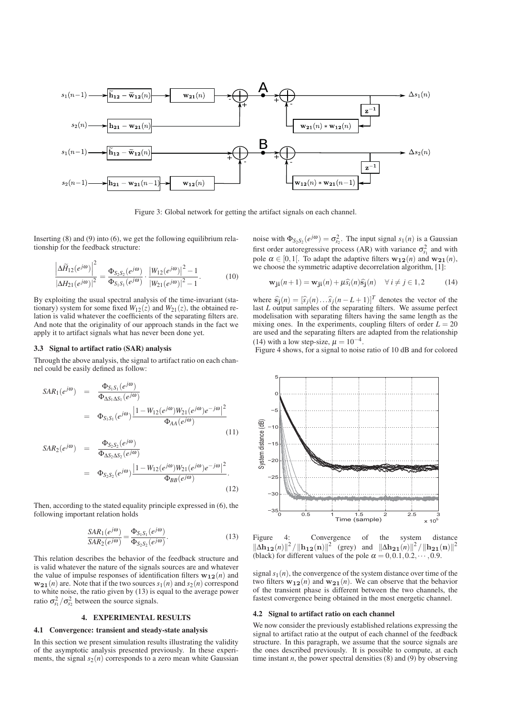

Figure 3: Global network for getting the artifact signals on each channel.

Inserting  $(8)$  and  $(9)$  into  $(6)$ , we get the following equilibrium relationship for the feedback structure:

$$
\frac{\left|\Delta\widetilde{H}_{12}(e^{j\omega})\right|^2}{\left|\Delta H_{21}(e^{j\omega})\right|^2} = \frac{\Phi_{S_2S_2}(e^{j\omega})}{\Phi_{S_1S_1}(e^{j\omega})} \cdot \frac{\left|W_{12}(e^{j\omega})\right|^2 - 1}{\left|W_{21}(e^{j\omega})\right|^2 - 1}.
$$
 (10)

By exploiting the usual spectral analysis of the time-invariant (stationary) system for some fixed  $W_{12}(z)$  and  $W_{21}(z)$ , the obtained relation is valid whatever the coefficients of the separating filters are. And note that the originality of our approach stands in the fact we apply it to artifact signals what has never been done yet.

#### 3.3 Signal to artifact ratio (SAR) analysis

Through the above analysis, the signal to artifact ratio on each channel could be easily defined as follow:

$$
SAR_1(e^{j\omega}) = \frac{\Phi_{S_1S_1}(e^{j\omega})}{\Phi_{\Delta S_1\Delta S_1}(e^{j\omega})}
$$
  
=  $\Phi_{S_1S_1}(e^{j\omega}) \frac{|1 - W_{12}(e^{j\omega})W_{21}(e^{j\omega})e^{-j\omega}|^2}{\Phi_{AA}(e^{j\omega})}$  (11)

$$
SAR_2(e^{j\omega}) = \frac{\Phi_{S_2S_2}(e^{j\omega})}{\Phi_{\Delta S_2\Delta S_2}(e^{j\omega})}
$$
  
=  $\Phi_{S_2S_2}(e^{j\omega}) \frac{|1 - W_{12}(e^{j\omega})W_{21}(e^{j\omega})e^{-j\omega}|^2}{\Phi_{BB}(e^{j\omega})}$ . (12)

Then, according to the stated equality principle expressed in (6), the following important relation holds

$$
\frac{SAR_1(e^{j\omega})}{SAR_2(e^{j\omega})} = \frac{\Phi_{S_1S_1}(e^{j\omega})}{\Phi_{S_2S_2}(e^{j\omega})}.
$$
\n(13)

This relation describes the behavior of the feedback structure and is valid whatever the nature of the signals sources are and whatever the value of impulse responses of identification filters  $w_{12}(n)$  and  $w_{21}(n)$  are. Note that if the two sources  $s_1(n)$  and  $s_2(n)$  correspond to white noise, the ratio given by (13) is equal to the average power ratio  $\sigma_{s_1}^2/\sigma_{s_2}^2$  between the source signals.

#### 4. EXPERIMENTAL RESULTS

#### 4.1 Convergence: transient and steady-state analysis

In this section we present simulation results illustrating the validity of the asymptotic analysis presented previously. In these experiments, the signal  $s_2(n)$  corresponds to a zero mean white Gaussian noise with  $\Phi_{S_2S_2}(e^{j\omega}) = \sigma_{S_2}^2$ . The input signal  $s_1(n)$  is a Gaussian first order autoregressive process (AR) with variance  $\sigma_{s_1}^2$  and with pole  $\alpha \in [0,1]$ . To adapt the adaptive filters  $\mathbf{w}_{12}(n)$  and  $\mathbf{w}_{21}(n)$ , we choose the symmetric adaptive decorrelation algorithm, [1]:

$$
\mathbf{w}_{ji}(n+1) = \mathbf{w}_{ji}(n) + \mu \hat{s}_i(n) \hat{s}_j(n) \quad \forall i \neq j \in 1, 2 \tag{14}
$$

where  $\hat{\mathbf{s}}_j(n) = [\hat{s}_j(n) \dots \hat{s}_j(n-L+1)]^T$  denotes the vector of the least L output complex of the separating filters. We see the approach last *L* output samples of the separating filters. We assume perfect modelisation with separating filters having the same length as the mixing ones. In the experiments, coupling filters of order  $L = 20$ are used and the separating filters are adapted from the relationship (14) with a low step-size,  $\mu = 10^{-4}$ .

Figure 4 shows, for a signal to noise ratio of 10 dB and for colored



Figure 4: Convergence of the system distance  $\|\Delta \mathbf{h}_{12}(n)\|^2 / \|\mathbf{h}_{12}(n)\|^2$  (grey) and  $\|\Delta \mathbf{h}_{21}(n)\|^2 / \|\mathbf{h}_{21}(n)\|^2$ (black) for different values of the pole  $\alpha = 0, 0.1, 0.2, \cdots, 0.9$ .

signal  $s_1(n)$ , the convergence of the system distance over time of the two filters  $w_{12}(n)$  and  $w_{21}(n)$ . We can observe that the behavior of the transient phase is different between the two channels, the fastest convergence being obtained in the most energetic channel.

### 4.2 Signal to artifact ratio on each channel

We now consider the previously established relations expressing the signal to artifact ratio at the output of each channel of the feedback structure. In this paragraph, we assume that the source signals are the ones described previously. It is possible to compute, at each time instant  $n$ , the power spectral densities  $(8)$  and  $(9)$  by observing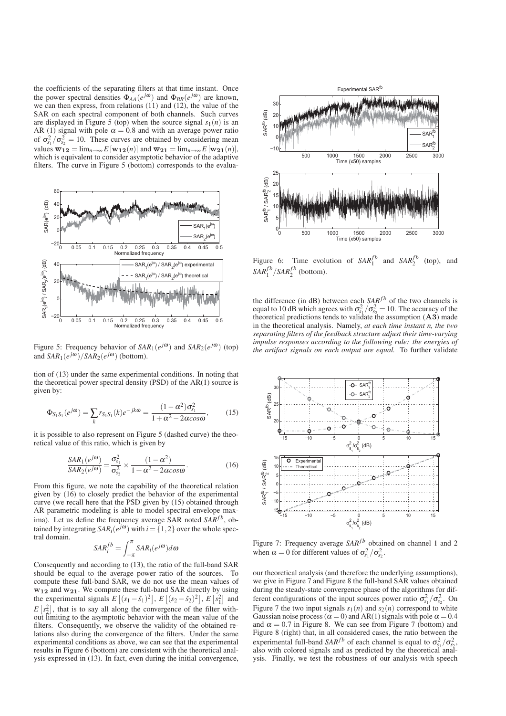the coefficients of the separating filters at that time instant. Once the power spectral densities  $\Phi_{AA}(e^{j\omega})$  and  $\Phi_{BB}(e^{j\omega})$  are known, we can then express, from relations  $(11)$  and  $(12)$ , the value of the SAR on each spectral component of both channels. Such curves are displayed in Figure 5 (top) when the source signal  $s_1(n)$  is an AR (1) signal with pole  $\alpha = 0.8$  and with an average power ratio of  $\sigma_{s_1}^2 / \sigma_{s_2}^2 = 10$ . These curves are obtained by considering mean values  $\overline{\mathbf{w}}_{12} = \lim_{n \to \infty} E[\mathbf{w}_{12}(n)]$  and  $\overline{\mathbf{w}}_{21} = \lim_{n \to \infty} E[\mathbf{w}_{21}(n)],$ which is equivalent to consider asymptotic behavior of the adaptive filters. The curve in Figure 5 (bottom) corresponds to the evalua-



Figure 5: Frequency behavior of  $SAR_1(e^{j\omega})$  and  $SAR_2(e^{j\omega})$  (top) and  $SAR_1(e^{j\omega})/SAR_2(e^{j\omega})$  (bottom).

tion of (13) under the same experimental conditions. In noting that the theoretical power spectral density (PSD) of the AR(1) source is given by:

$$
\Phi_{S_1 S_1}(e^{j\omega}) = \sum_{k} r_{S_1 S_1}(k) e^{-jk\omega} = \frac{(1 - \alpha^2)\sigma_{S_1}^2}{1 + \alpha^2 - 2\alpha\cos\omega},
$$
(15)

it is possible to also represent on Figure 5 (dashed curve) the theoretical value of this ratio, which is given by

$$
\frac{SAR_1(e^{j\omega})}{SAR_2(e^{j\omega})} = \frac{\sigma_{s_1}^2}{\sigma_{s_2}^2} \times \frac{(1-\alpha^2)}{1+\alpha^2 - 2\alpha\cos\omega}.
$$
 (16)

From this figure, we note the capability of the theoretical relation given by (16) to closely predict the behavior of the experimental curve (we recall here that the PSD given by (15) obtained through AR parametric modeling is able to model spectral envelope maxima). Let us define the frequency average SAR noted  $SAR^{fb}$ , obtained by integrating  $SAR_i(e^{j\omega})$  with  $i = \{1,2\}$  over the whole spectral domain.

$$
SAR_i^{fb} = \int_{-\pi}^{\pi} SAR_i(e^{j\omega})d\omega
$$

Consequently and according to (13), the ratio of the full-band SAR should be equal to the average power ratio of the sources. To compute these full-band SAR, we do not use the mean values of **w12** and **w21**. We compute these full-band SAR directly by using the experimental signals  $E[(s_1 - \hat{s}_1)^2], E[(s_2 - \hat{s}_2)^2], E[s_1^2]$  and  $E[s_2^2]$ , that is to say all along the convergence of the filter without limiting to the asymptotic behavior with the mean value of the filters. Consequently, we observe the validity of the obtained relations also during the convergence of the filters. Under the same experimental conditions as above, we can see that the experimental results in Figure 6 (bottom) are consistent with the theoretical analysis expressed in (13). In fact, even during the initial convergence,



Figure 6: Time evolution of  $SAR_1^{fb}$  and  $SAR_2^{fb}$ (top), and  $SAR_1^{fb}/SAR_2^{fb}$  (bottom).

the difference (in dB) between each  $SAR^{fb}$  of the two channels is equal to 10 dB which agrees with  $\sigma_{s_1}^2 / \sigma_{s_2}^2 = 10$ . The accuracy of the theoretical predictions tends to validate the assumption (**A3**) made in the theoretical analysis. Namely, *at each time instant n, the two separating filters of the feedback structure adjust their time-varying impulse responses according to the following rule: the energies of the artifact signals on each output are equal.* To further validate



Figure 7: Frequency average  $SAR^{fb}$  obtained on channel 1 and 2 when  $\alpha = 0$  for different values of  $\sigma_{s_1}^2 / \sigma_{s_2}^2$ .

our theoretical analysis (and therefore the underlying assumptions), we give in Figure 7 and Figure 8 the full-band SAR values obtained during the steady-state convergence phase of the algorithms for different configurations of the input sources power ratio  $\sigma_{s_1}^2 / \sigma_{s_2}^2$ . On Figure 7 the two input signals  $s_1(n)$  and  $s_2(n)$  correspond to white Gaussian noise process ( $\alpha = 0$ ) and AR(1) signals with pole  $\alpha = 0.4$ and  $\alpha = 0.7$  in Figure 8. We can see from Figure 7 (bottom) and Figure 8 (right) that, in all considered cases, the ratio between the experimental full-band *SAR<sup>fb</sup>* of each channel is equal to  $\sigma_{s_1}^2/\sigma_{s_2}^2$ , also with colored signals and as predicted by the theoretical analysis. Finally, we test the robustness of our analysis with speech